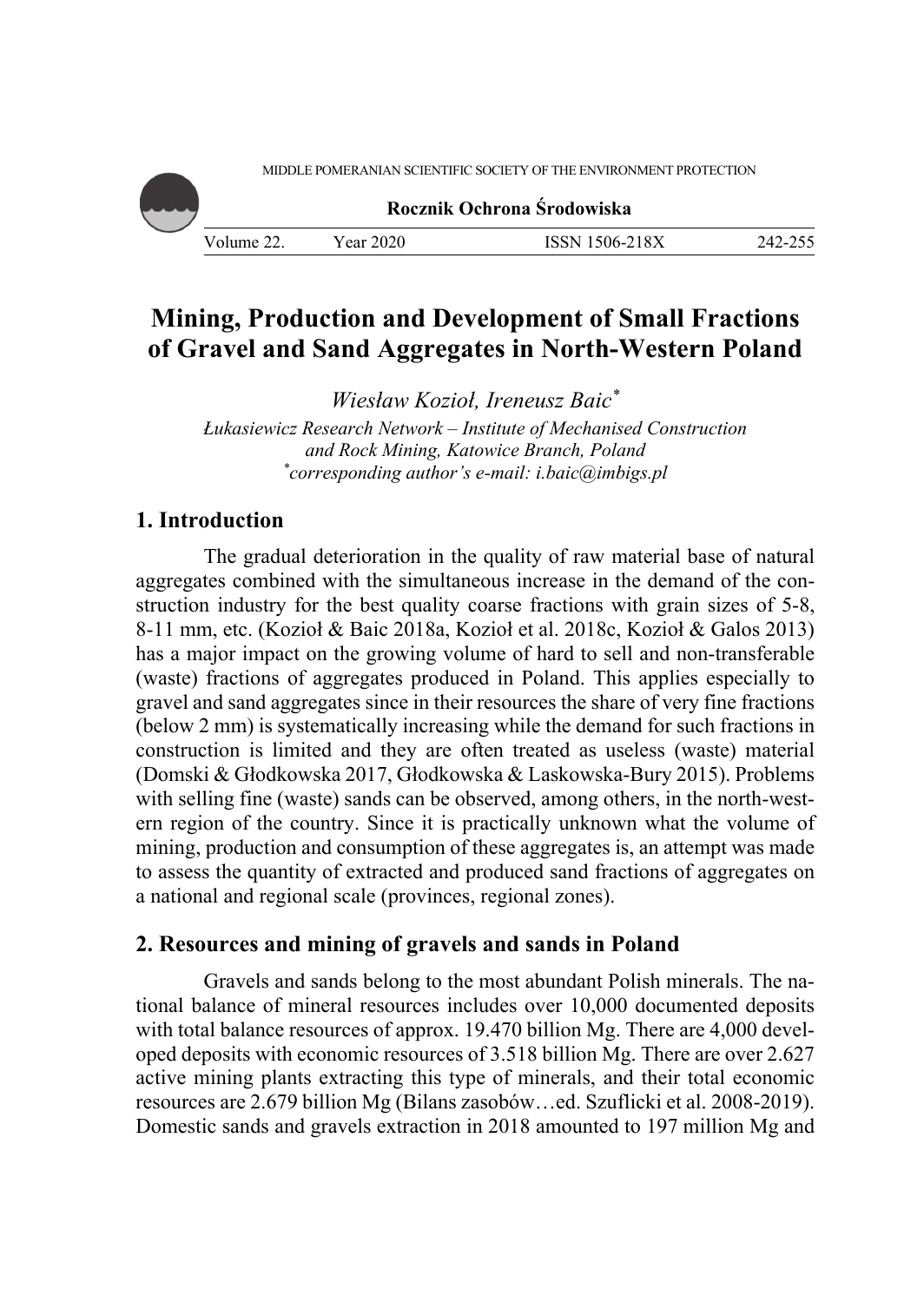MIDDLE POMERANIAN SCIENTIFIC SOCIETY OF THE ENVIRONMENT PROTECTION



# **Mining, Production and Development of Small Fractions of Gravel and Sand Aggregates in North-Western Poland**

*Wiesław Kozioł, Ireneusz Baic\**

*Łukasiewicz Research Network – Institute of Mechanised Construction and Rock Mining, Katowice Branch, Poland \* corresponding author's e-mail: i.baic@imbigs.pl* 

## **1. Introduction**

The gradual deterioration in the quality of raw material base of natural aggregates combined with the simultaneous increase in the demand of the construction industry for the best quality coarse fractions with grain sizes of 5-8, 8-11 mm, etc. (Kozioł & Baic 2018a, Kozioł et al. 2018c, Kozioł & Galos 2013) has a major impact on the growing volume of hard to sell and non-transferable (waste) fractions of aggregates produced in Poland. This applies especially to gravel and sand aggregates since in their resources the share of very fine fractions (below 2 mm) is systematically increasing while the demand for such fractions in construction is limited and they are often treated as useless (waste) material (Domski & Głodkowska 2017, Głodkowska & Laskowska-Bury 2015). Problems with selling fine (waste) sands can be observed, among others, in the north-western region of the country. Since it is practically unknown what the volume of mining, production and consumption of these aggregates is, an attempt was made to assess the quantity of extracted and produced sand fractions of aggregates on a national and regional scale (provinces, regional zones).

### **2. Resources and mining of gravels and sands in Poland**

Gravels and sands belong to the most abundant Polish minerals. The national balance of mineral resources includes over 10,000 documented deposits with total balance resources of approx. 19.470 billion Mg. There are 4,000 developed deposits with economic resources of 3.518 billion Mg. There are over 2.627 active mining plants extracting this type of minerals, and their total economic resources are 2.679 billion Mg (Bilans zasobów…ed. Szuflicki et al. 2008-2019). Domestic sands and gravels extraction in 2018 amounted to 197 million Mg and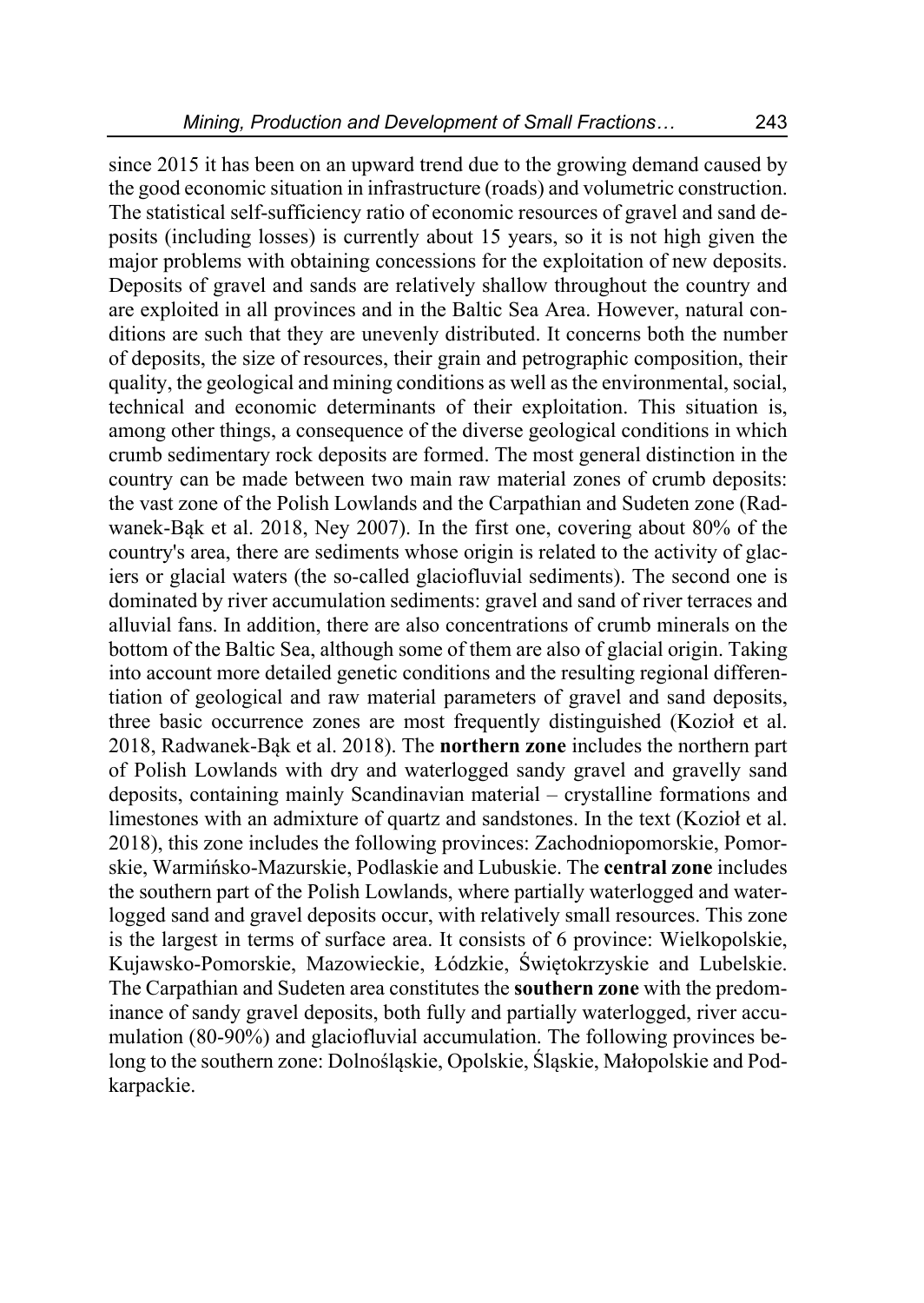since 2015 it has been on an upward trend due to the growing demand caused by the good economic situation in infrastructure (roads) and volumetric construction. The statistical self-sufficiency ratio of economic resources of gravel and sand deposits (including losses) is currently about 15 years, so it is not high given the major problems with obtaining concessions for the exploitation of new deposits. Deposits of gravel and sands are relatively shallow throughout the country and are exploited in all provinces and in the Baltic Sea Area. However, natural conditions are such that they are unevenly distributed. It concerns both the number of deposits, the size of resources, their grain and petrographic composition, their quality, the geological and mining conditions as well as the environmental, social, technical and economic determinants of their exploitation. This situation is, among other things, a consequence of the diverse geological conditions in which crumb sedimentary rock deposits are formed. The most general distinction in the country can be made between two main raw material zones of crumb deposits: the vast zone of the Polish Lowlands and the Carpathian and Sudeten zone (Radwanek-Bąk et al. 2018, Ney 2007). In the first one, covering about 80% of the country's area, there are sediments whose origin is related to the activity of glaciers or glacial waters (the so-called glaciofluvial sediments). The second one is dominated by river accumulation sediments: gravel and sand of river terraces and alluvial fans. In addition, there are also concentrations of crumb minerals on the bottom of the Baltic Sea, although some of them are also of glacial origin. Taking into account more detailed genetic conditions and the resulting regional differentiation of geological and raw material parameters of gravel and sand deposits, three basic occurrence zones are most frequently distinguished (Kozioł et al. 2018, Radwanek-Bąk et al. 2018). The **northern zone** includes the northern part of Polish Lowlands with dry and waterlogged sandy gravel and gravelly sand deposits, containing mainly Scandinavian material – crystalline formations and limestones with an admixture of quartz and sandstones. In the text (Kozioł et al. 2018), this zone includes the following provinces: Zachodniopomorskie, Pomorskie, Warmińsko-Mazurskie, Podlaskie and Lubuskie. The **central zone** includes the southern part of the Polish Lowlands, where partially waterlogged and waterlogged sand and gravel deposits occur, with relatively small resources. This zone is the largest in terms of surface area. It consists of 6 province: Wielkopolskie, Kujawsko-Pomorskie, Mazowieckie, Łódzkie, Świętokrzyskie and Lubelskie. The Carpathian and Sudeten area constitutes the **southern zone** with the predominance of sandy gravel deposits, both fully and partially waterlogged, river accumulation (80-90%) and glaciofluvial accumulation. The following provinces belong to the southern zone: Dolnośląskie, Opolskie, Śląskie, Małopolskie and Podkarpackie.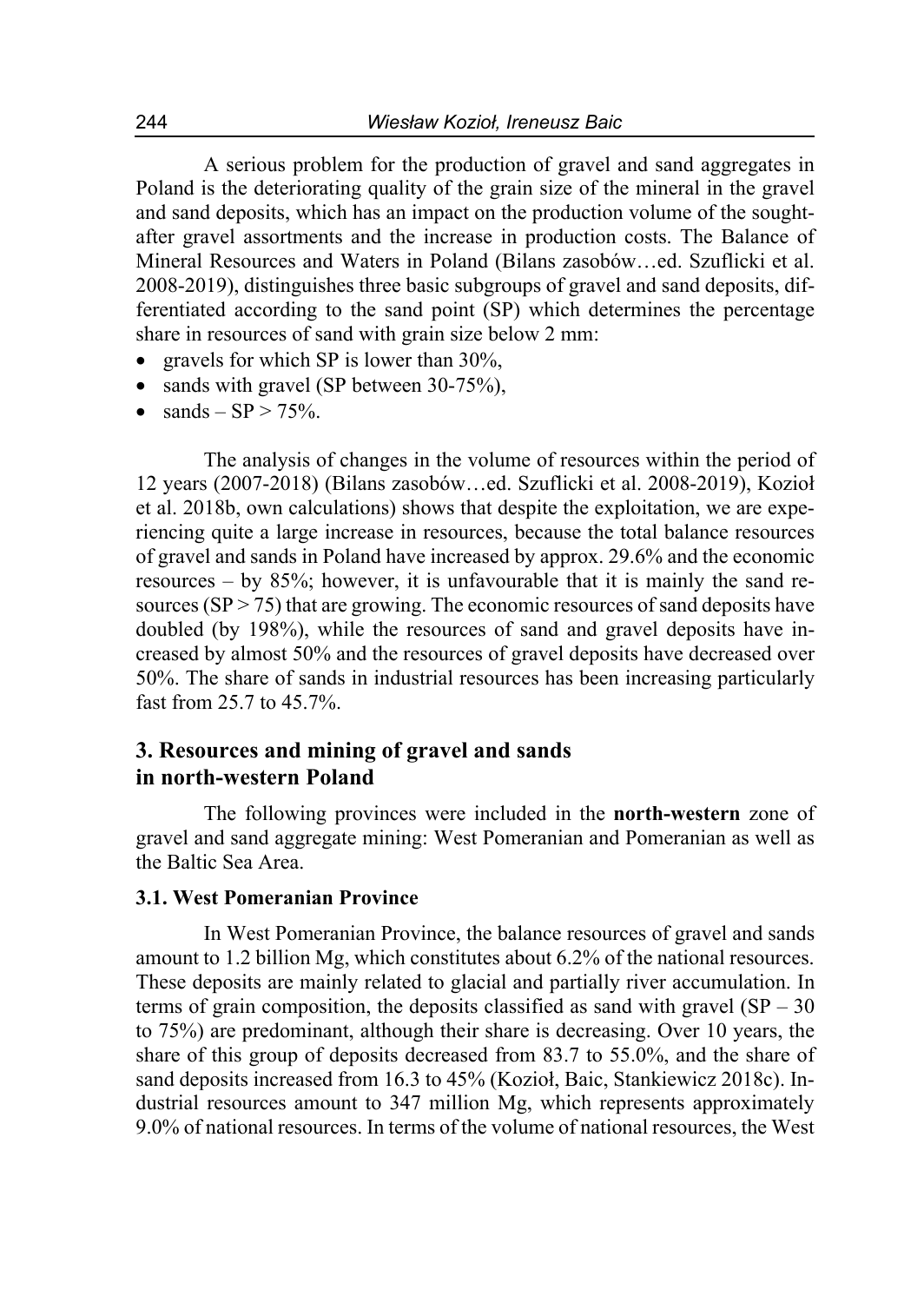A serious problem for the production of gravel and sand aggregates in Poland is the deteriorating quality of the grain size of the mineral in the gravel and sand deposits, which has an impact on the production volume of the soughtafter gravel assortments and the increase in production costs. The Balance of Mineral Resources and Waters in Poland (Bilans zasobów…ed. Szuflicki et al. 2008-2019), distinguishes three basic subgroups of gravel and sand deposits, differentiated according to the sand point (SP) which determines the percentage share in resources of sand with grain size below 2 mm:

- gravels for which SP is lower than 30%,
- sands with gravel (SP between 30-75%),
- sands  $SP > 75\%$ .

The analysis of changes in the volume of resources within the period of 12 years (2007-2018) (Bilans zasobów…ed. Szuflicki et al. 2008-2019), Kozioł et al. 2018b, own calculations) shows that despite the exploitation, we are experiencing quite a large increase in resources, because the total balance resources of gravel and sands in Poland have increased by approx. 29.6% and the economic resources – by 85%; however, it is unfavourable that it is mainly the sand resources  $(SP > 75)$  that are growing. The economic resources of sand deposits have doubled (by 198%), while the resources of sand and gravel deposits have increased by almost 50% and the resources of gravel deposits have decreased over 50%. The share of sands in industrial resources has been increasing particularly fast from 25.7 to 45.7%.

### **3. Resources and mining of gravel and sands in north-western Poland**

The following provinces were included in the **north-western** zone of gravel and sand aggregate mining: West Pomeranian and Pomeranian as well as the Baltic Sea Area.

### **3.1. West Pomeranian Province**

In West Pomeranian Province, the balance resources of gravel and sands amount to 1.2 billion Mg, which constitutes about 6.2% of the national resources. These deposits are mainly related to glacial and partially river accumulation. In terms of grain composition, the deposits classified as sand with gravel  $(SP - 30)$ to 75%) are predominant, although their share is decreasing. Over 10 years, the share of this group of deposits decreased from 83.7 to 55.0%, and the share of sand deposits increased from 16.3 to 45% (Kozioł, Baic, Stankiewicz 2018c). Industrial resources amount to 347 million Mg, which represents approximately 9.0% of national resources. In terms of the volume of national resources, the West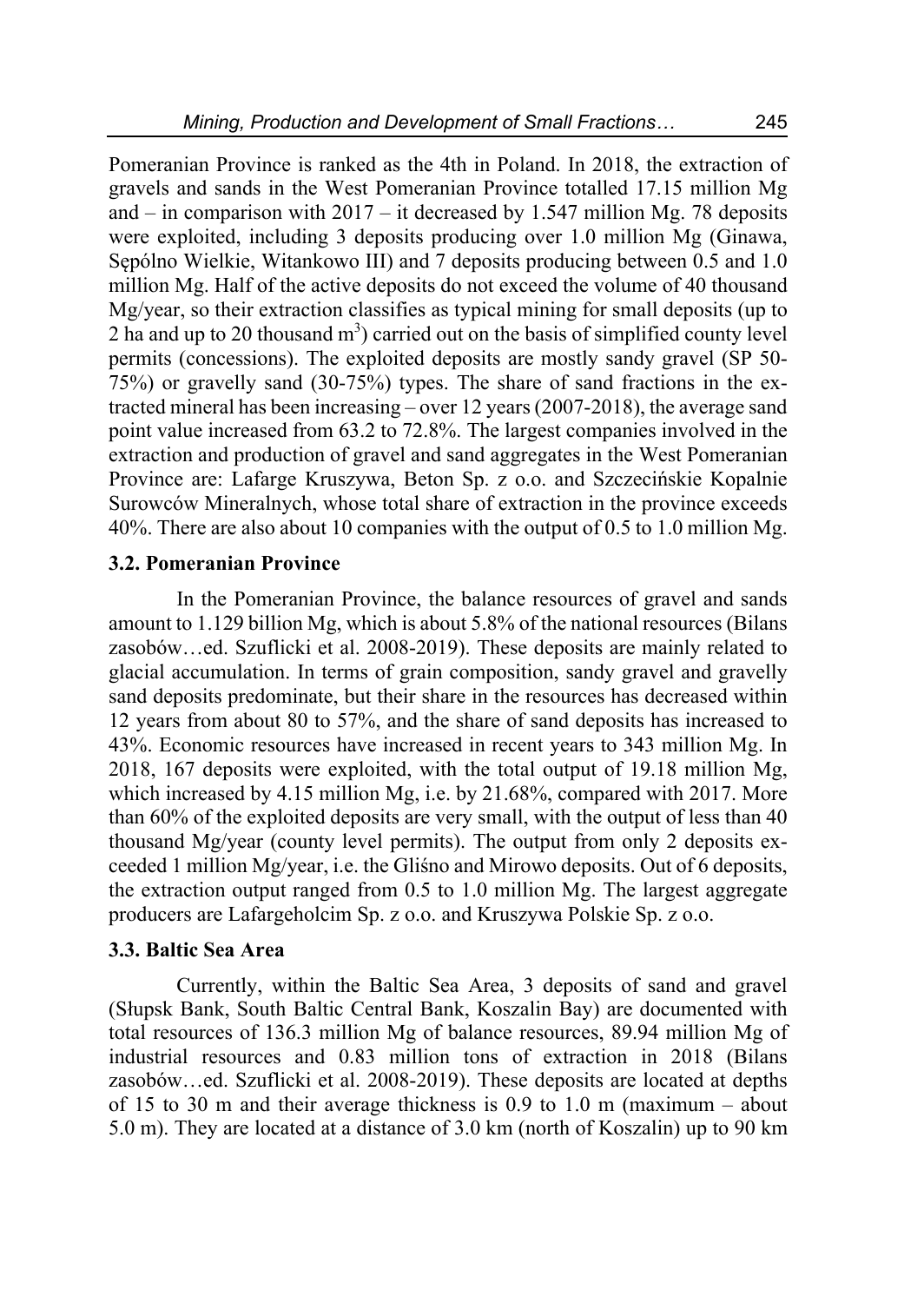Pomeranian Province is ranked as the 4th in Poland. In 2018, the extraction of gravels and sands in the West Pomeranian Province totalled 17.15 million Mg and – in comparison with  $2017 - it$  decreased by 1.547 million Mg. 78 deposits were exploited, including 3 deposits producing over 1.0 million Mg (Ginawa, Sępólno Wielkie, Witankowo III) and 7 deposits producing between 0.5 and 1.0 million Mg. Half of the active deposits do not exceed the volume of 40 thousand Mg/year, so their extraction classifies as typical mining for small deposits (up to 2 ha and up to 20 thousand  $m<sup>3</sup>$ ) carried out on the basis of simplified county level permits (concessions). The exploited deposits are mostly sandy gravel (SP 50- 75%) or gravelly sand (30-75%) types. The share of sand fractions in the extracted mineral has been increasing – over 12 years (2007-2018), the average sand point value increased from 63.2 to 72.8%. The largest companies involved in the extraction and production of gravel and sand aggregates in the West Pomeranian Province are: Lafarge Kruszywa, Beton Sp. z o.o. and Szczecińskie Kopalnie Surowców Mineralnych, whose total share of extraction in the province exceeds 40%. There are also about 10 companies with the output of 0.5 to 1.0 million Mg.

### **3.2. Pomeranian Province**

In the Pomeranian Province, the balance resources of gravel and sands amount to 1.129 billion Mg, which is about 5.8% of the national resources (Bilans zasobów…ed. Szuflicki et al. 2008-2019). These deposits are mainly related to glacial accumulation. In terms of grain composition, sandy gravel and gravelly sand deposits predominate, but their share in the resources has decreased within 12 years from about 80 to 57%, and the share of sand deposits has increased to 43%. Economic resources have increased in recent years to 343 million Mg. In 2018, 167 deposits were exploited, with the total output of 19.18 million Mg, which increased by 4.15 million Mg, i.e. by 21.68%, compared with 2017. More than 60% of the exploited deposits are very small, with the output of less than 40 thousand Mg/year (county level permits). The output from only 2 deposits exceeded 1 million Mg/year, i.e. the Gliśno and Mirowo deposits. Out of 6 deposits, the extraction output ranged from 0.5 to 1.0 million Mg. The largest aggregate producers are Lafargeholcim Sp. z o.o. and Kruszywa Polskie Sp. z o.o.

#### **3.3. Baltic Sea Area**

Currently, within the Baltic Sea Area, 3 deposits of sand and gravel (Słupsk Bank, South Baltic Central Bank, Koszalin Bay) are documented with total resources of 136.3 million Mg of balance resources, 89.94 million Mg of industrial resources and 0.83 million tons of extraction in 2018 (Bilans zasobów…ed. Szuflicki et al. 2008-2019). These deposits are located at depths of 15 to 30 m and their average thickness is 0.9 to 1.0 m (maximum – about 5.0 m). They are located at a distance of 3.0 km (north of Koszalin) up to 90 km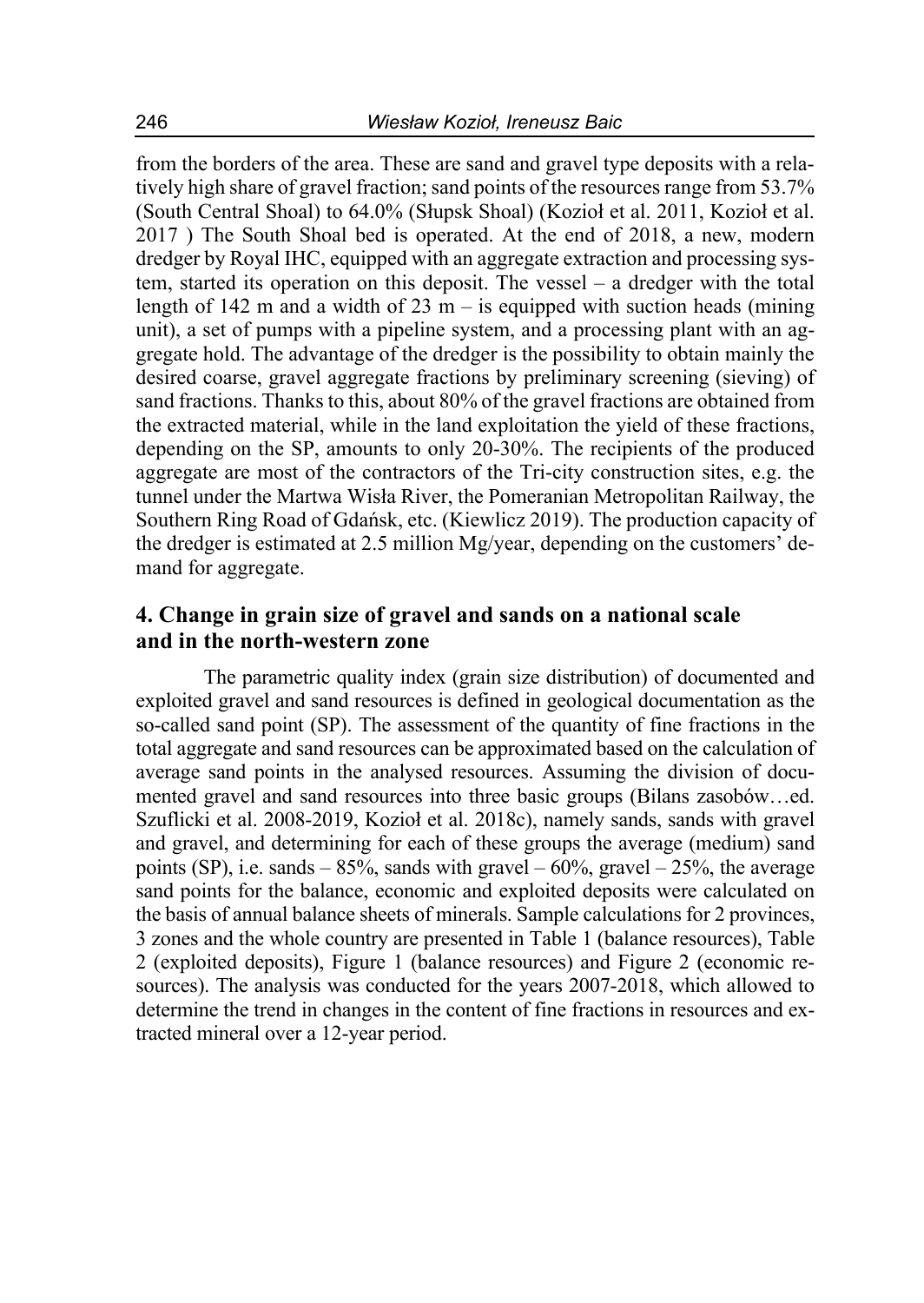from the borders of the area. These are sand and gravel type deposits with a relatively high share of gravel fraction; sand points of the resources range from 53.7% (South Central Shoal) to 64.0% (Słupsk Shoal) (Kozioł et al. 2011, Kozioł et al. 2017 ) The South Shoal bed is operated. At the end of 2018, a new, modern dredger by Royal IHC, equipped with an aggregate extraction and processing system, started its operation on this deposit. The vessel – a dredger with the total length of 142 m and a width of 23 m – is equipped with suction heads (mining unit), a set of pumps with a pipeline system, and a processing plant with an aggregate hold. The advantage of the dredger is the possibility to obtain mainly the desired coarse, gravel aggregate fractions by preliminary screening (sieving) of sand fractions. Thanks to this, about 80% of the gravel fractions are obtained from the extracted material, while in the land exploitation the yield of these fractions, depending on the SP, amounts to only 20-30%. The recipients of the produced aggregate are most of the contractors of the Tri-city construction sites, e.g. the tunnel under the Martwa Wisła River, the Pomeranian Metropolitan Railway, the Southern Ring Road of Gdańsk, etc. (Kiewlicz 2019). The production capacity of the dredger is estimated at 2.5 million Mg/year, depending on the customers' demand for aggregate.

### **4. Change in grain size of gravel and sands on a national scale and in the north-western zone**

The parametric quality index (grain size distribution) of documented and exploited gravel and sand resources is defined in geological documentation as the so-called sand point (SP). The assessment of the quantity of fine fractions in the total aggregate and sand resources can be approximated based on the calculation of average sand points in the analysed resources. Assuming the division of documented gravel and sand resources into three basic groups (Bilans zasobów…ed. Szuflicki et al. 2008-2019, Kozioł et al. 2018c), namely sands, sands with gravel and gravel, and determining for each of these groups the average (medium) sand points (SP), i.e. sands – 85%, sands with gravel – 60%, gravel – 25%, the average sand points for the balance, economic and exploited deposits were calculated on the basis of annual balance sheets of minerals. Sample calculations for 2 provinces, 3 zones and the whole country are presented in Table 1 (balance resources), Table 2 (exploited deposits), Figure 1 (balance resources) and Figure 2 (economic resources). The analysis was conducted for the years 2007-2018, which allowed to determine the trend in changes in the content of fine fractions in resources and extracted mineral over a 12-year period.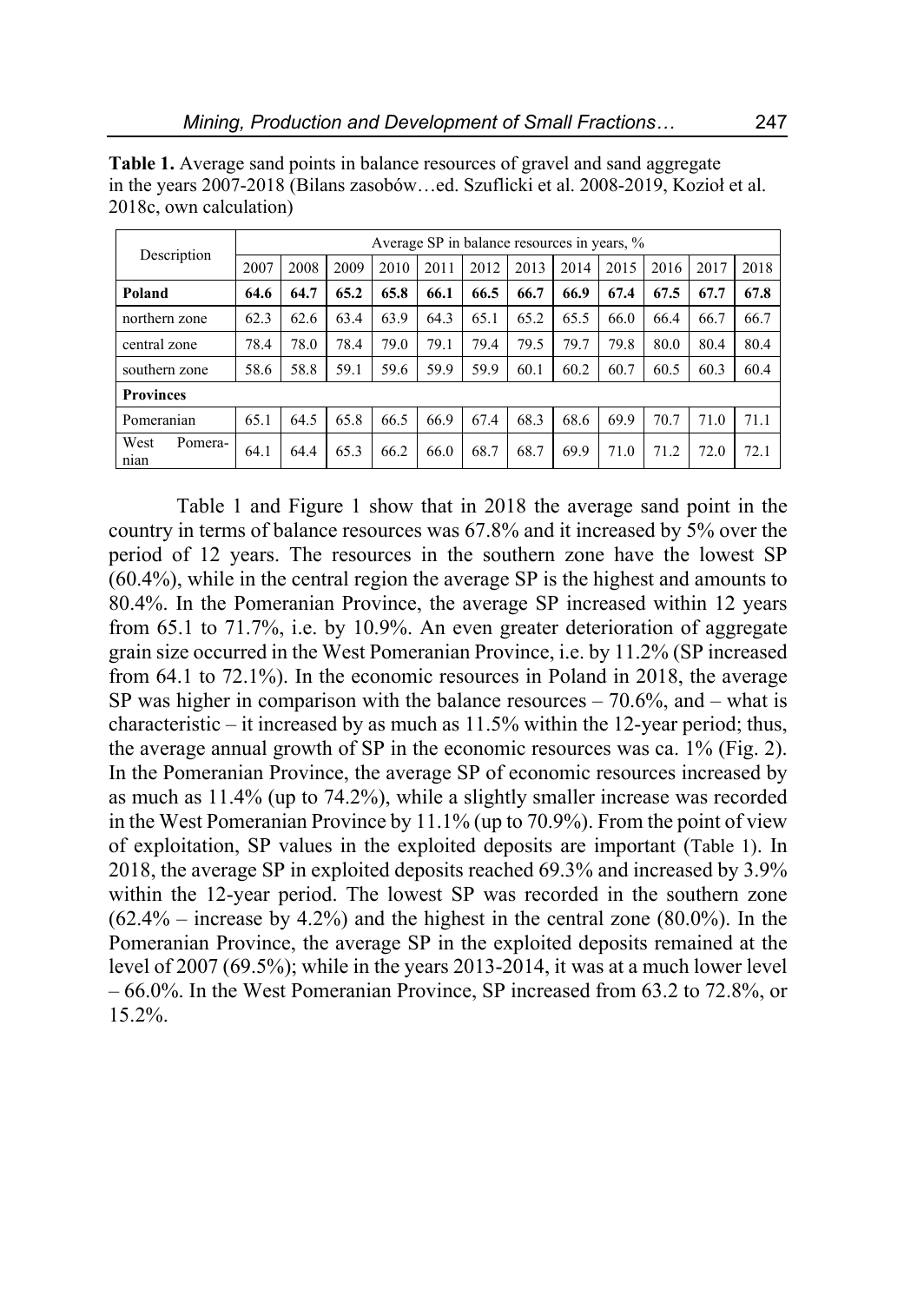| Description             | Average SP in balance resources in years, % |      |      |      |      |      |      |      |      |      |      |      |
|-------------------------|---------------------------------------------|------|------|------|------|------|------|------|------|------|------|------|
|                         | 2007                                        | 2008 | 2009 | 2010 | 2011 | 2012 | 2013 | 2014 | 2015 | 2016 | 2017 | 2018 |
| Poland                  | 64.6                                        | 64.7 | 65.2 | 65.8 | 66.1 | 66.5 | 66.7 | 66.9 | 67.4 | 67.5 | 67.7 | 67.8 |
| northern zone           | 62.3                                        | 62.6 | 63.4 | 63.9 | 64.3 | 65.1 | 65.2 | 65.5 | 66.0 | 66.4 | 66.7 | 66.7 |
| central zone            | 78.4                                        | 78.0 | 78.4 | 79.0 | 79.1 | 79.4 | 79.5 | 79.7 | 79.8 | 80.0 | 80.4 | 80.4 |
| southern zone           | 58.6                                        | 58.8 | 59.1 | 59.6 | 59.9 | 59.9 | 60.1 | 60.2 | 60.7 | 60.5 | 60.3 | 60.4 |
| <b>Provinces</b>        |                                             |      |      |      |      |      |      |      |      |      |      |      |
| Pomeranian              | 65.1                                        | 64.5 | 65.8 | 66.5 | 66.9 | 67.4 | 68.3 | 68.6 | 69.9 | 70.7 | 71.0 | 71.1 |
| West<br>Pomera-<br>nian | 64.1                                        | 64.4 | 65.3 | 66.2 | 66.0 | 68.7 | 68.7 | 69.9 | 71.0 | 71.2 | 72.0 | 72.1 |

**Table 1.** Average sand points in balance resources of gravel and sand aggregate in the years 2007-2018 (Bilans zasobów…ed. Szuflicki et al. 2008-2019, Kozioł et al. 2018c, own calculation)

Table 1 and Figure 1 show that in 2018 the average sand point in the country in terms of balance resources was 67.8% and it increased by 5% over the period of 12 years. The resources in the southern zone have the lowest SP (60.4%), while in the central region the average SP is the highest and amounts to 80.4%. In the Pomeranian Province, the average SP increased within 12 years from 65.1 to 71.7%, i.e. by 10.9%. An even greater deterioration of aggregate grain size occurred in the West Pomeranian Province, i.e. by 11.2% (SP increased from 64.1 to 72.1%). In the economic resources in Poland in 2018, the average SP was higher in comparison with the balance resources  $-70.6\%$ , and  $-$  what is characteristic – it increased by as much as 11.5% within the 12-year period; thus, the average annual growth of SP in the economic resources was ca. 1% (Fig. 2). In the Pomeranian Province, the average SP of economic resources increased by as much as 11.4% (up to 74.2%), while a slightly smaller increase was recorded in the West Pomeranian Province by 11.1% (up to 70.9%). From the point of view of exploitation, SP values in the exploited deposits are important (Table 1). In 2018, the average SP in exploited deposits reached 69.3% and increased by 3.9% within the 12-year period. The lowest SP was recorded in the southern zone  $(62.4\% - \text{increase by } 4.2\%)$  and the highest in the central zone  $(80.0\%)$ . In the Pomeranian Province, the average SP in the exploited deposits remained at the level of 2007 (69.5%); while in the years 2013-2014, it was at a much lower level – 66.0%. In the West Pomeranian Province, SP increased from 63.2 to 72.8%, or 15.2%.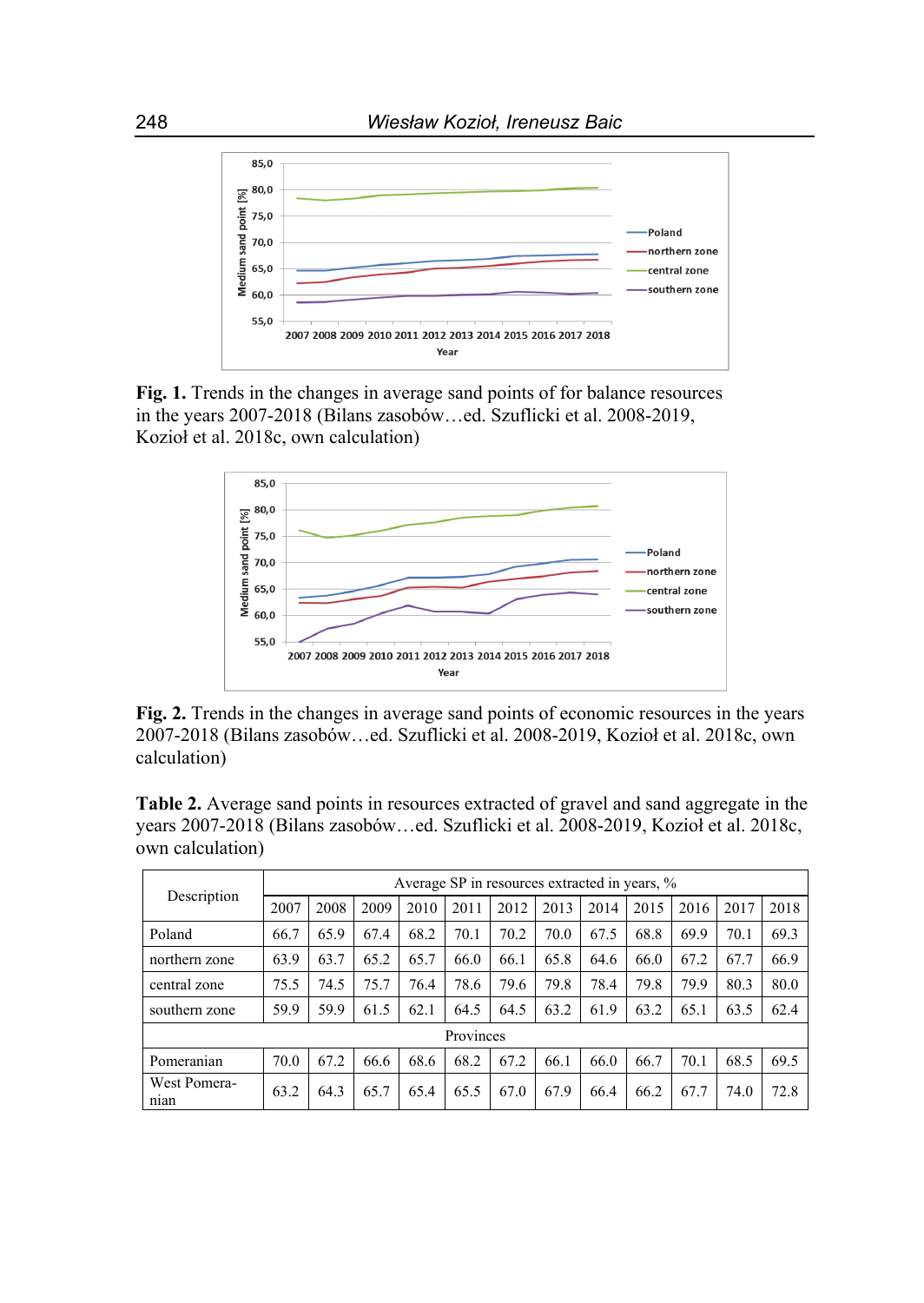

**Fig. 1.** Trends in the changes in average sand points of for balance resources in the years 2007-2018 (Bilans zasobów…ed. Szuflicki et al. 2008-2019, Kozioł et al. 2018c, own calculation)



**Fig. 2.** Trends in the changes in average sand points of economic resources in the years 2007-2018 (Bilans zasobów…ed. Szuflicki et al. 2008-2019, Kozioł et al. 2018c, own calculation)

**Table 2.** Average sand points in resources extracted of gravel and sand aggregate in the years 2007-2018 (Bilans zasobów…ed. Szuflicki et al. 2008-2019, Kozioł et al. 2018c, own calculation)

| Description          | Average SP in resources extracted in years, % |      |      |      |      |      |      |      |      |      |      |      |
|----------------------|-----------------------------------------------|------|------|------|------|------|------|------|------|------|------|------|
|                      | 2007                                          | 2008 | 2009 | 2010 | 2011 | 2012 | 2013 | 2014 | 2015 | 2016 | 2017 | 2018 |
| Poland               | 66.7                                          | 65.9 | 67.4 | 68.2 | 70.1 | 70.2 | 70.0 | 67.5 | 68.8 | 69.9 | 70.1 | 69.3 |
| northern zone        | 63.9                                          | 63.7 | 65.2 | 65.7 | 66.0 | 66.1 | 65.8 | 64.6 | 66.0 | 67.2 | 67.7 | 66.9 |
| central zone         | 75.5                                          | 74.5 | 75.7 | 76.4 | 78.6 | 79.6 | 79.8 | 78.4 | 79.8 | 79.9 | 80.3 | 80.0 |
| southern zone        | 59.9                                          | 59.9 | 61.5 | 62.1 | 64.5 | 64.5 | 63.2 | 61.9 | 63.2 | 65.1 | 63.5 | 62.4 |
| Provinces            |                                               |      |      |      |      |      |      |      |      |      |      |      |
| Pomeranian           | 70.0                                          | 67.2 | 66.6 | 68.6 | 68.2 | 67.2 | 66.1 | 66.0 | 66.7 | 70.1 | 68.5 | 69.5 |
| West Pomera-<br>nian | 63.2                                          | 64.3 | 65.7 | 65.4 | 65.5 | 67.0 | 67.9 | 66.4 | 66.2 | 67.7 | 74.0 | 72.8 |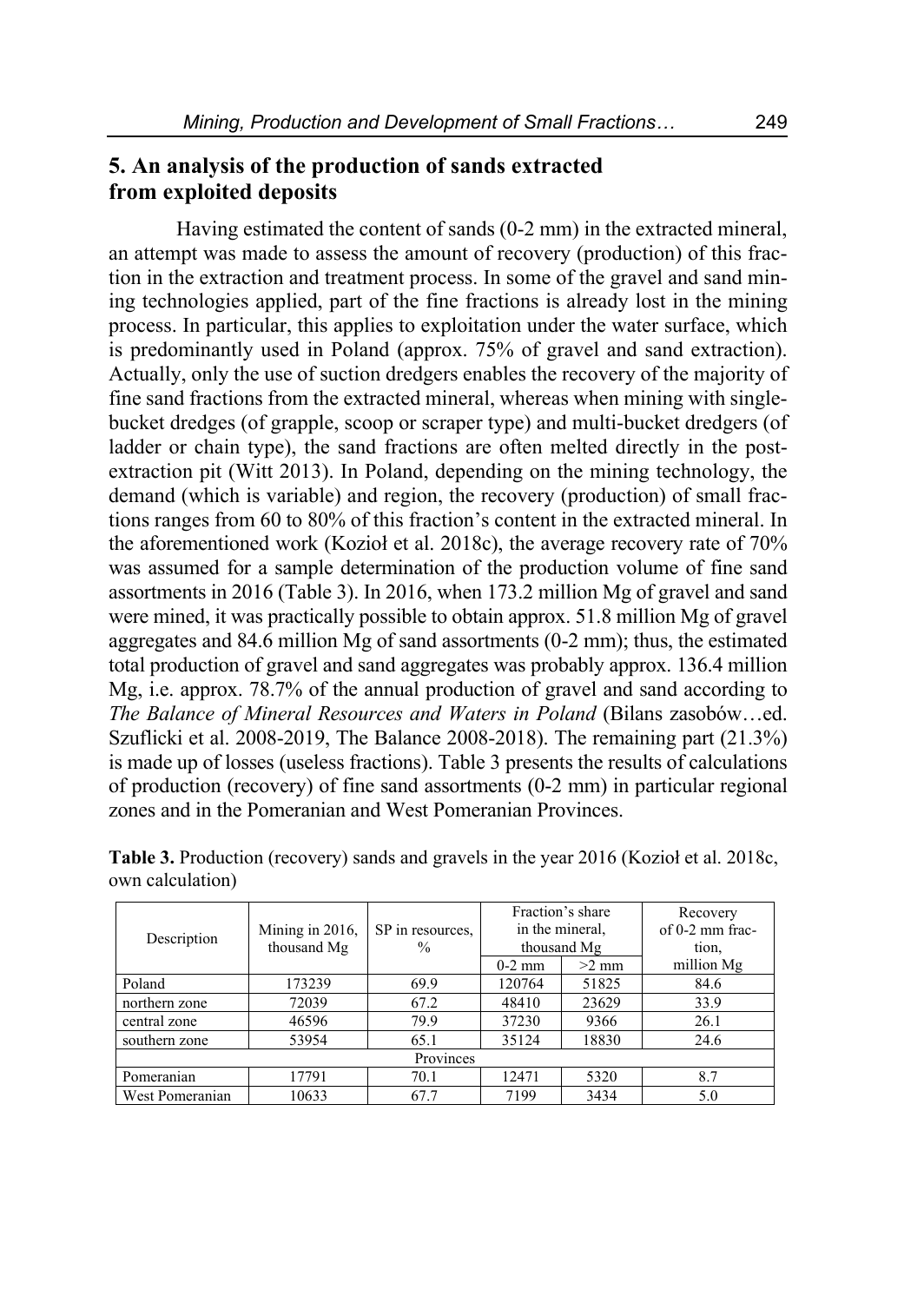### **5. An analysis of the production of sands extracted from exploited deposits**

Having estimated the content of sands (0-2 mm) in the extracted mineral, an attempt was made to assess the amount of recovery (production) of this fraction in the extraction and treatment process. In some of the gravel and sand mining technologies applied, part of the fine fractions is already lost in the mining process. In particular, this applies to exploitation under the water surface, which is predominantly used in Poland (approx. 75% of gravel and sand extraction). Actually, only the use of suction dredgers enables the recovery of the majority of fine sand fractions from the extracted mineral, whereas when mining with singlebucket dredges (of grapple, scoop or scraper type) and multi-bucket dredgers (of ladder or chain type), the sand fractions are often melted directly in the postextraction pit (Witt 2013). In Poland, depending on the mining technology, the demand (which is variable) and region, the recovery (production) of small fractions ranges from 60 to 80% of this fraction's content in the extracted mineral. In the aforementioned work (Kozioł et al. 2018c), the average recovery rate of 70% was assumed for a sample determination of the production volume of fine sand assortments in 2016 (Table 3). In 2016, when 173.2 million Mg of gravel and sand were mined, it was practically possible to obtain approx. 51.8 million Mg of gravel aggregates and 84.6 million Mg of sand assortments (0-2 mm); thus, the estimated total production of gravel and sand aggregates was probably approx. 136.4 million Mg, i.e. approx. 78.7% of the annual production of gravel and sand according to *The Balance of Mineral Resources and Waters in Poland* (Bilans zasobów…ed. Szuflicki et al. 2008-2019, The Balance 2008-2018). The remaining part (21.3%) is made up of losses (useless fractions). Table 3 presents the results of calculations of production (recovery) of fine sand assortments (0-2 mm) in particular regional zones and in the Pomeranian and West Pomeranian Provinces.

|                 |                 |                  |          | Fraction's share | Recovery          |  |  |  |  |
|-----------------|-----------------|------------------|----------|------------------|-------------------|--|--|--|--|
| Description     | Mining in 2016, | SP in resources, |          | in the mineral,  | $of 0-2$ mm frac- |  |  |  |  |
|                 | thousand Mg     | $\frac{0}{0}$    |          | thousand Mg      | tion,             |  |  |  |  |
|                 |                 |                  | $0-2$ mm | $>2$ mm          | million Mg        |  |  |  |  |
| Poland          | 173239          | 69.9             | 120764   | 51825            | 84.6              |  |  |  |  |
| northern zone   | 72039           | 67.2             | 48410    | 23629            | 33.9              |  |  |  |  |
| central zone    | 46596           | 79.9             | 37230    | 9366             | 26.1              |  |  |  |  |
| southern zone   | 53954           | 65.1             | 35124    | 18830            | 24.6              |  |  |  |  |
| Provinces       |                 |                  |          |                  |                   |  |  |  |  |
| Pomeranian      | 17791           | 70.1             | 12471    | 5320             | 8.7               |  |  |  |  |
| West Pomeranian | 10633           | 67.7             | 7199     | 3434             | 5.0               |  |  |  |  |

**Table 3.** Production (recovery) sands and gravels in the year 2016 (Kozioł et al. 2018c, own calculation)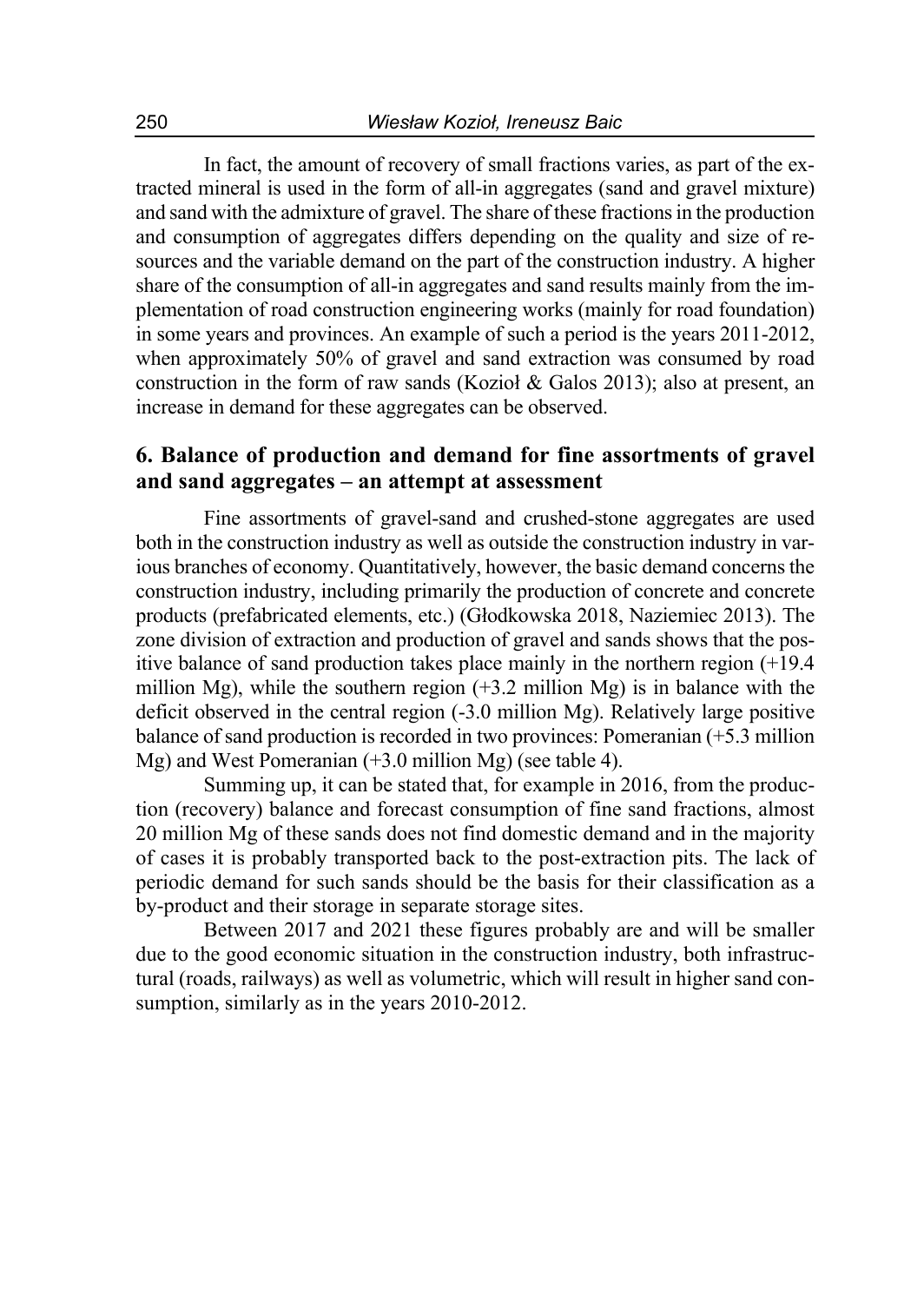In fact, the amount of recovery of small fractions varies, as part of the extracted mineral is used in the form of all-in aggregates (sand and gravel mixture) and sand with the admixture of gravel. The share of these fractions in the production and consumption of aggregates differs depending on the quality and size of resources and the variable demand on the part of the construction industry. A higher share of the consumption of all-in aggregates and sand results mainly from the implementation of road construction engineering works (mainly for road foundation) in some years and provinces. An example of such a period is the years 2011-2012, when approximately 50% of gravel and sand extraction was consumed by road construction in the form of raw sands (Kozioł & Galos 2013); also at present, an increase in demand for these aggregates can be observed.

### **6. Balance of production and demand for fine assortments of gravel and sand aggregates – an attempt at assessment**

Fine assortments of gravel-sand and crushed-stone aggregates are used both in the construction industry as well as outside the construction industry in various branches of economy. Quantitatively, however, the basic demand concerns the construction industry, including primarily the production of concrete and concrete products (prefabricated elements, etc.) (Głodkowska 2018, Naziemiec 2013). The zone division of extraction and production of gravel and sands shows that the positive balance of sand production takes place mainly in the northern region (+19.4 million Mg), while the southern region  $(+3.2 \text{ million Mg})$  is in balance with the deficit observed in the central region (-3.0 million Mg). Relatively large positive balance of sand production is recorded in two provinces: Pomeranian (+5.3 million Mg) and West Pomeranian (+3.0 million Mg) (see table 4).

Summing up, it can be stated that, for example in 2016, from the production (recovery) balance and forecast consumption of fine sand fractions, almost 20 million Mg of these sands does not find domestic demand and in the majority of cases it is probably transported back to the post-extraction pits. The lack of periodic demand for such sands should be the basis for their classification as a by-product and their storage in separate storage sites.

Between 2017 and 2021 these figures probably are and will be smaller due to the good economic situation in the construction industry, both infrastructural (roads, railways) as well as volumetric, which will result in higher sand consumption, similarly as in the years 2010-2012.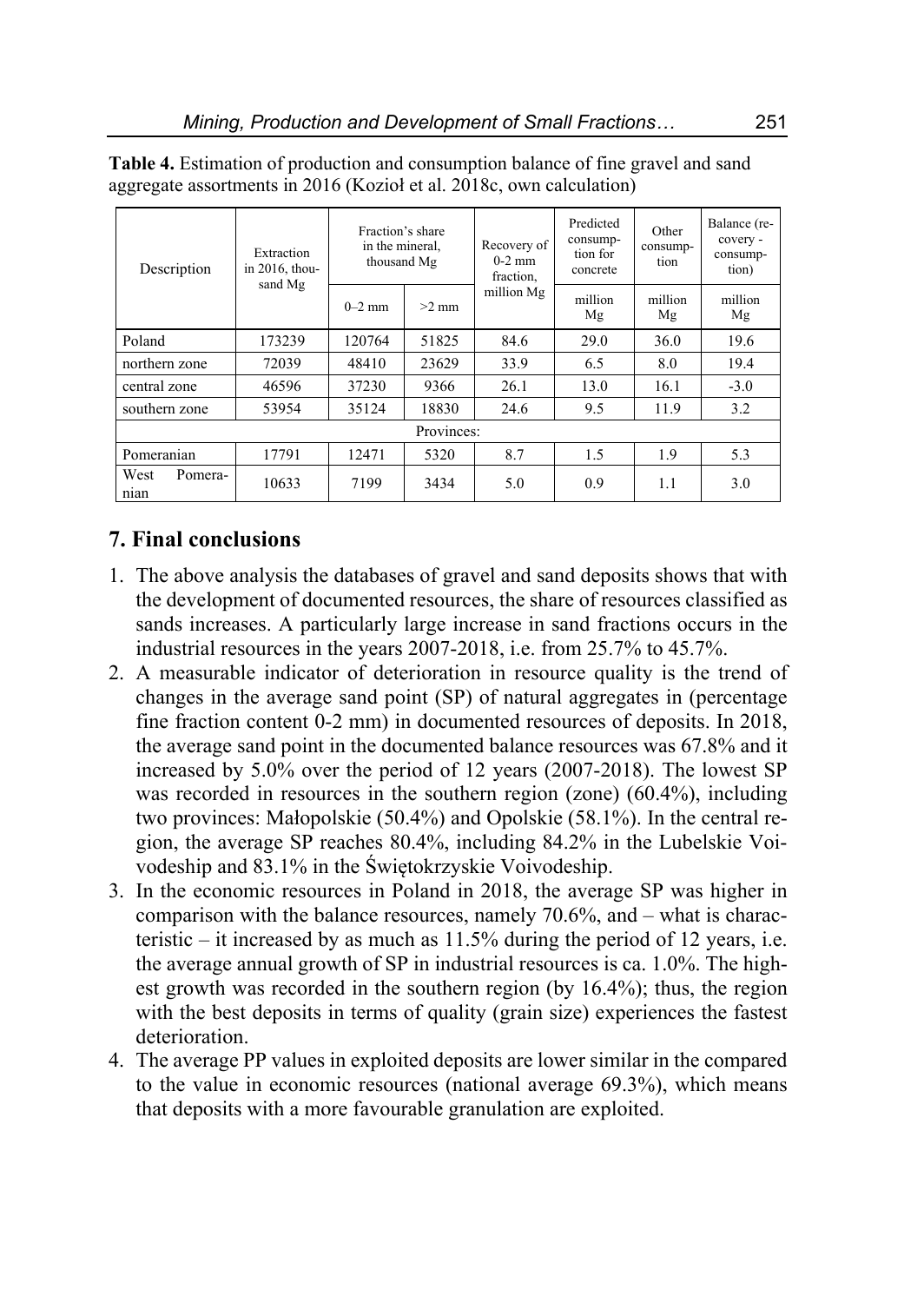| Description             | Extraction<br>in $2016$ , thou-<br>sand Mg | Fraction's share<br>in the mineral.<br>thousand Mg |         | Recovery of<br>$0-2$ mm<br>fraction. | Predicted<br>consump-<br>tion for<br>concrete | Other<br>consump-<br>tion | Balance (re-<br>covery -<br>consump-<br>tion) |  |  |
|-------------------------|--------------------------------------------|----------------------------------------------------|---------|--------------------------------------|-----------------------------------------------|---------------------------|-----------------------------------------------|--|--|
|                         |                                            | $0-2$ mm                                           | $>2$ mm | million Mg                           | million<br>Mg                                 | million<br>Mg             | million<br>Mg                                 |  |  |
| Poland                  | 173239                                     | 120764                                             | 51825   | 84.6                                 | 29.0                                          | 36.0                      | 19.6                                          |  |  |
| northern zone           | 72039                                      | 48410                                              | 23629   | 33.9                                 | 6.5                                           | 8.0                       | 19.4                                          |  |  |
| central zone            | 46596                                      | 37230                                              | 9366    | 26.1                                 | 13.0                                          | 16.1                      | $-3.0$                                        |  |  |
| southern zone           | 53954                                      | 35124                                              | 18830   | 24.6                                 | 9.5                                           | 11.9                      | 3.2                                           |  |  |
| Provinces:              |                                            |                                                    |         |                                      |                                               |                           |                                               |  |  |
| Pomeranian              | 17791                                      | 12471                                              | 5320    | 8.7                                  | 1.5                                           | 1.9                       | 5.3                                           |  |  |
| West<br>Pomera-<br>nian | 10633                                      | 7199                                               | 3434    | 5.0                                  | 0.9                                           | 1.1                       | 3.0                                           |  |  |

**Table 4.** Estimation of production and consumption balance of fine gravel and sand aggregate assortments in 2016 (Kozioł et al. 2018c, own calculation)

## **7. Final conclusions**

- 1. The above analysis the databases of gravel and sand deposits shows that with the development of documented resources, the share of resources classified as sands increases. A particularly large increase in sand fractions occurs in the industrial resources in the years 2007-2018, i.e. from 25.7% to 45.7%.
- 2. A measurable indicator of deterioration in resource quality is the trend of changes in the average sand point (SP) of natural aggregates in (percentage fine fraction content 0-2 mm) in documented resources of deposits. In 2018, the average sand point in the documented balance resources was 67.8% and it increased by 5.0% over the period of 12 years (2007-2018). The lowest SP was recorded in resources in the southern region (zone) (60.4%), including two provinces: Małopolskie (50.4%) and Opolskie (58.1%). In the central region, the average SP reaches 80.4%, including 84.2% in the Lubelskie Voivodeship and 83.1% in the Świętokrzyskie Voivodeship.
- 3. In the economic resources in Poland in 2018, the average SP was higher in comparison with the balance resources, namely 70.6%, and – what is characteristic – it increased by as much as 11.5% during the period of 12 years, i.e. the average annual growth of SP in industrial resources is ca. 1.0%. The highest growth was recorded in the southern region (by 16.4%); thus, the region with the best deposits in terms of quality (grain size) experiences the fastest deterioration.
- 4. The average PP values in exploited deposits are lower similar in the compared to the value in economic resources (national average 69.3%), which means that deposits with a more favourable granulation are exploited.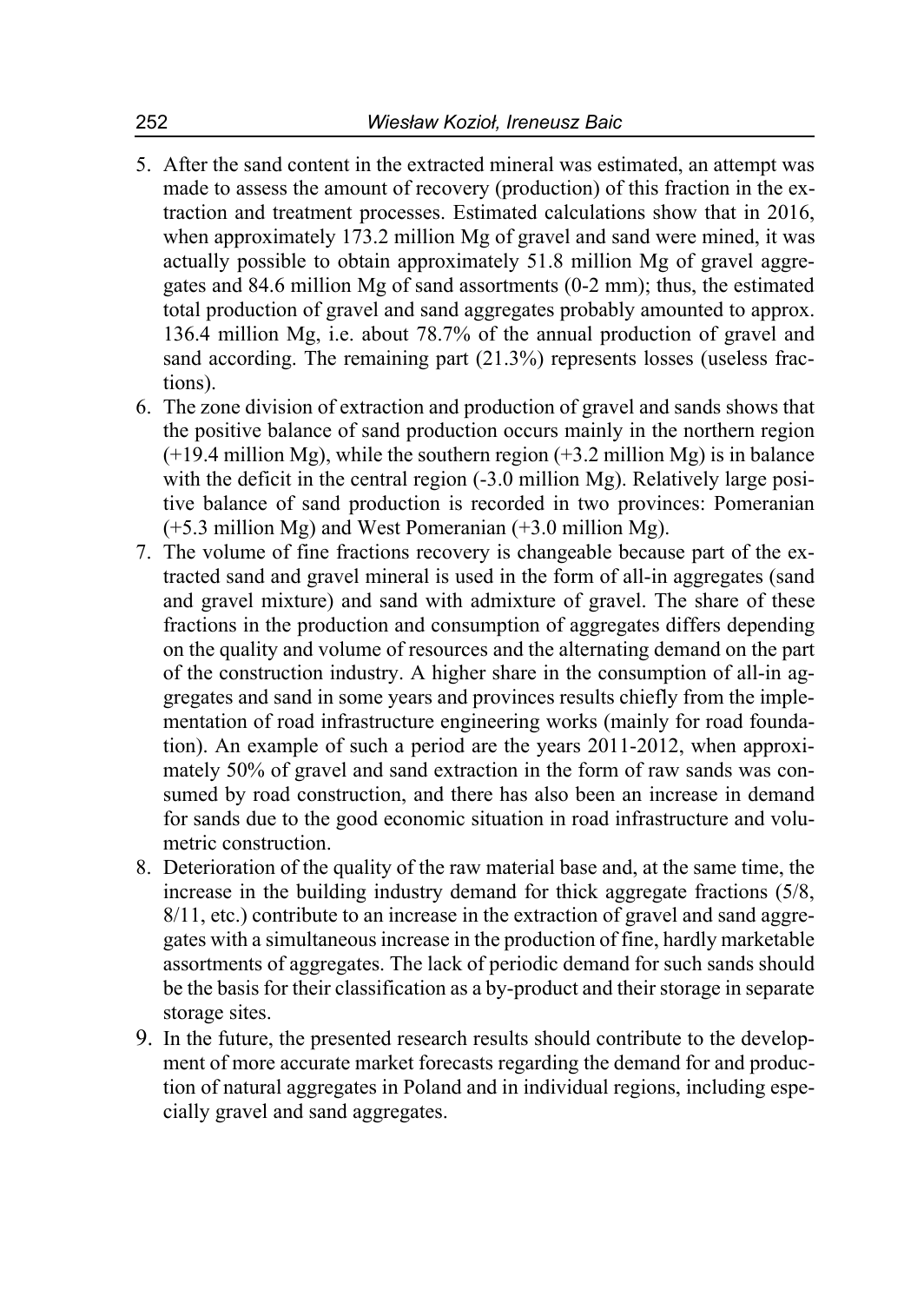- 5. After the sand content in the extracted mineral was estimated, an attempt was made to assess the amount of recovery (production) of this fraction in the extraction and treatment processes. Estimated calculations show that in 2016, when approximately 173.2 million Mg of gravel and sand were mined, it was actually possible to obtain approximately 51.8 million Mg of gravel aggregates and 84.6 million Mg of sand assortments (0-2 mm); thus, the estimated total production of gravel and sand aggregates probably amounted to approx. 136.4 million Mg, i.e. about 78.7% of the annual production of gravel and sand according. The remaining part (21.3%) represents losses (useless fractions).
- 6. The zone division of extraction and production of gravel and sands shows that the positive balance of sand production occurs mainly in the northern region  $(+19.4$  million Mg), while the southern region  $(+3.2$  million Mg) is in balance with the deficit in the central region  $(-3.0 \text{ million Mg})$ . Relatively large positive balance of sand production is recorded in two provinces: Pomeranian (+5.3 million Mg) and West Pomeranian (+3.0 million Mg).
- 7. The volume of fine fractions recovery is changeable because part of the extracted sand and gravel mineral is used in the form of all-in aggregates (sand and gravel mixture) and sand with admixture of gravel. The share of these fractions in the production and consumption of aggregates differs depending on the quality and volume of resources and the alternating demand on the part of the construction industry. A higher share in the consumption of all-in aggregates and sand in some years and provinces results chiefly from the implementation of road infrastructure engineering works (mainly for road foundation). An example of such a period are the years 2011-2012, when approximately 50% of gravel and sand extraction in the form of raw sands was consumed by road construction, and there has also been an increase in demand for sands due to the good economic situation in road infrastructure and volumetric construction.
- 8. Deterioration of the quality of the raw material base and, at the same time, the increase in the building industry demand for thick aggregate fractions (5/8, 8/11, etc.) contribute to an increase in the extraction of gravel and sand aggregates with a simultaneous increase in the production of fine, hardly marketable assortments of aggregates. The lack of periodic demand for such sands should be the basis for their classification as a by-product and their storage in separate storage sites.
- 9. In the future, the presented research results should contribute to the development of more accurate market forecasts regarding the demand for and production of natural aggregates in Poland and in individual regions, including especially gravel and sand aggregates.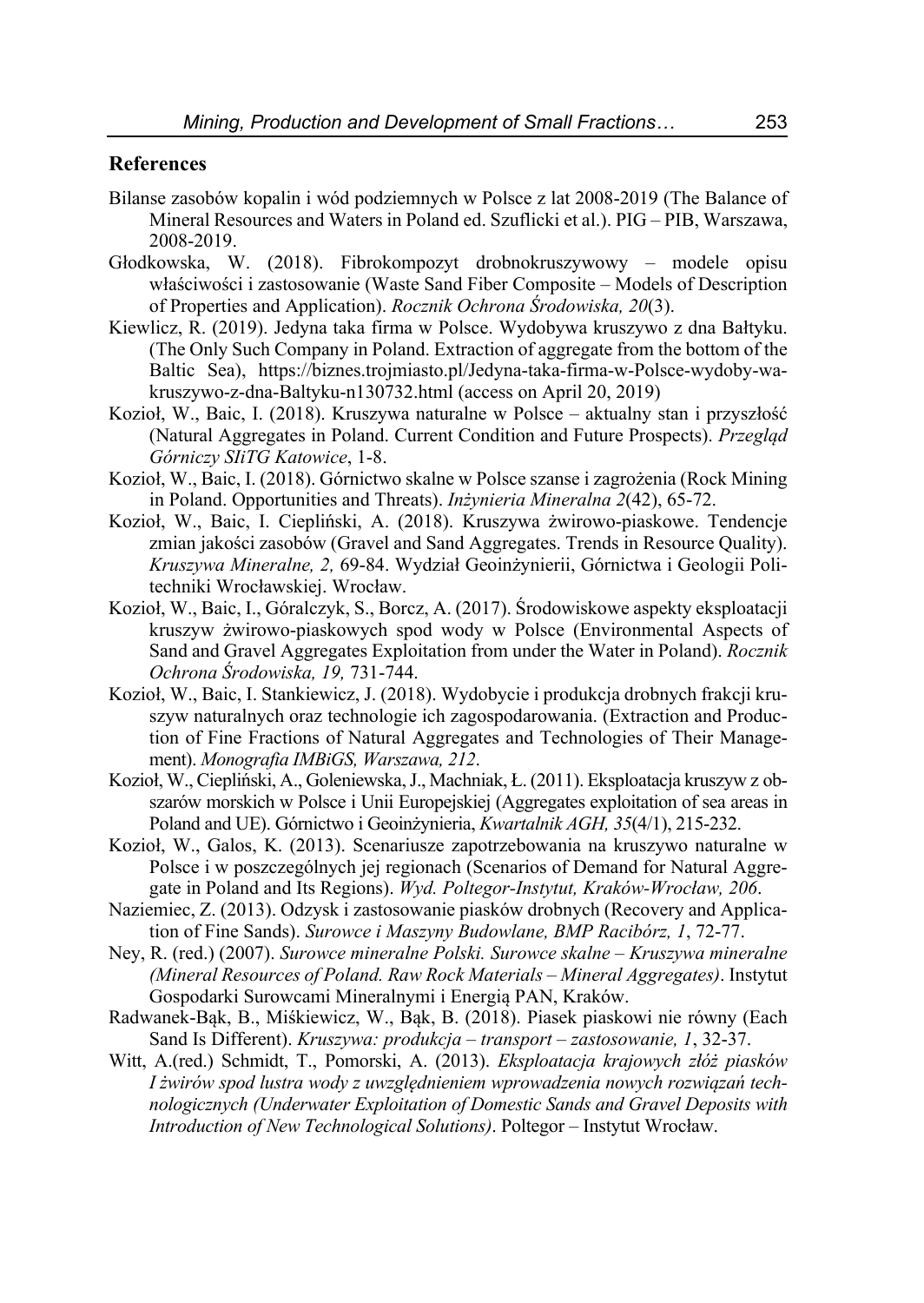### **References**

- Bilanse zasobów kopalin i wód podziemnych w Polsce z lat 2008-2019 (The Balance of Mineral Resources and Waters in Poland ed. Szuflicki et al.). PIG – PIB, Warszawa, 2008-2019.
- Głodkowska, W. (2018). Fibrokompozyt drobnokruszywowy modele opisu właściwości i zastosowanie (Waste Sand Fiber Composite – Models of Description of Properties and Application). *Rocznik Ochrona Środowiska, 20*(3).
- Kiewlicz, R. (2019). Jedyna taka firma w Polsce. Wydobywa kruszywo z dna Bałtyku. (The Only Such Company in Poland. Extraction of aggregate from the bottom of the Baltic Sea), https://biznes.trojmiasto.pl/Jedyna-taka-firma-w-Polsce-wydoby-wakruszywo-z-dna-Baltyku-n130732.html (access on April 20, 2019)
- Kozioł, W., Baic, I. (2018). Kruszywa naturalne w Polsce aktualny stan i przyszłość (Natural Aggregates in Poland. Current Condition and Future Prospects). *Przegląd Górniczy SIiTG Katowice*, 1-8.
- Kozioł, W., Baic, I. (2018). Górnictwo skalne w Polsce szanse i zagrożenia (Rock Mining in Poland. Opportunities and Threats). *Inżynieria Mineralna 2*(42), 65-72.
- Kozioł, W., Baic, I. Ciepliński, A. (2018). Kruszywa żwirowo-piaskowe. Tendencje zmian jakości zasobów (Gravel and Sand Aggregates. Trends in Resource Quality). *Kruszywa Mineralne, 2,* 69-84. Wydział Geoinżynierii, Górnictwa i Geologii Politechniki Wrocławskiej. Wrocław.
- Kozioł, W., Baic, I., Góralczyk, S., Borcz, A. (2017). Środowiskowe aspekty eksploatacji kruszyw żwirowo-piaskowych spod wody w Polsce (Environmental Aspects of Sand and Gravel Aggregates Exploitation from under the Water in Poland). *Rocznik Ochrona Środowiska, 19,* 731-744.
- Kozioł, W., Baic, I. Stankiewicz, J. (2018). Wydobycie i produkcja drobnych frakcji kruszyw naturalnych oraz technologie ich zagospodarowania. (Extraction and Production of Fine Fractions of Natural Aggregates and Technologies of Their Management). *Monografia IMBiGS, Warszawa, 212*.
- Kozioł, W., Ciepliński, A., Goleniewska, J., Machniak, Ł. (2011). Eksploatacja kruszyw z obszarów morskich w Polsce i Unii Europejskiej (Aggregates exploitation of sea areas in Poland and UE). Górnictwo i Geoinżynieria, *Kwartalnik AGH, 35*(4/1), 215-232.
- Kozioł, W., Galos, K. (2013). Scenariusze zapotrzebowania na kruszywo naturalne w Polsce i w poszczególnych jej regionach (Scenarios of Demand for Natural Aggregate in Poland and Its Regions). *Wyd. Poltegor-Instytut, Kraków-Wrocław, 206*.
- Naziemiec, Z. (2013). Odzysk i zastosowanie piasków drobnych (Recovery and Application of Fine Sands). *Surowce i Maszyny Budowlane, BMP Racibórz, 1*, 72-77.
- Ney, R. (red.) (2007). *Surowce mineralne Polski. Surowce skalne Kruszywa mineralne (Mineral Resources of Poland. Raw Rock Materials – Mineral Aggregates)*. Instytut Gospodarki Surowcami Mineralnymi i Energią PAN, Kraków.
- Radwanek-Bąk, B., Miśkiewicz, W., Bąk, B. (2018). Piasek piaskowi nie równy (Each Sand Is Different). *Kruszywa: produkcja – transport – zastosowanie, 1*, 32-37.
- Witt, A.(red.) Schmidt, T., Pomorski, A. (2013). *Eksploatacja krajowych złóż piasków I żwirów spod lustra wody z uwzględnieniem wprowadzenia nowych rozwiązań technologicznych (Underwater Exploitation of Domestic Sands and Gravel Deposits with Introduction of New Technological Solutions)*. Poltegor – Instytut Wrocław.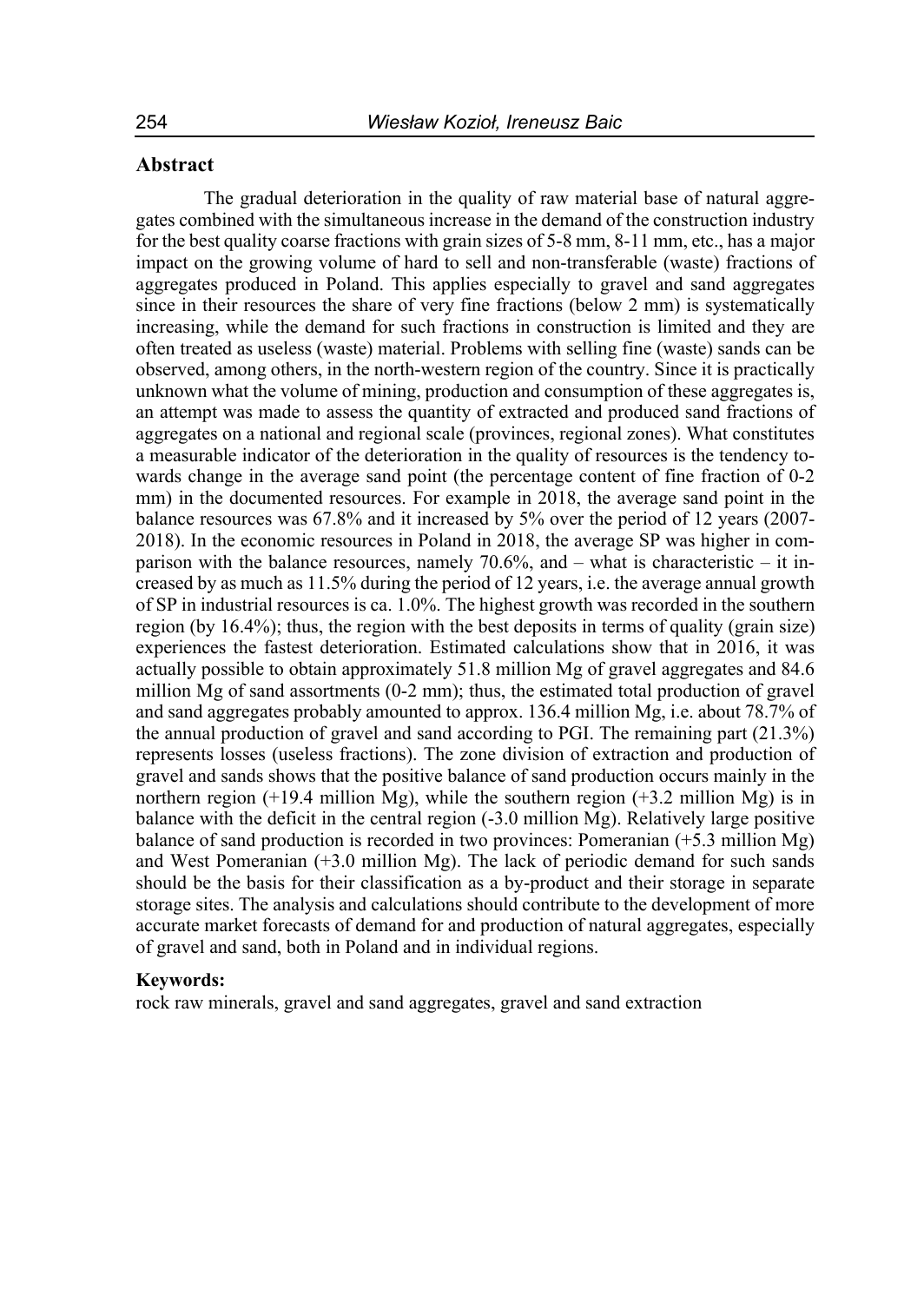#### **Abstract**

The gradual deterioration in the quality of raw material base of natural aggregates combined with the simultaneous increase in the demand of the construction industry for the best quality coarse fractions with grain sizes of 5-8 mm, 8-11 mm, etc., has a major impact on the growing volume of hard to sell and non-transferable (waste) fractions of aggregates produced in Poland. This applies especially to gravel and sand aggregates since in their resources the share of very fine fractions (below 2 mm) is systematically increasing, while the demand for such fractions in construction is limited and they are often treated as useless (waste) material. Problems with selling fine (waste) sands can be observed, among others, in the north-western region of the country. Since it is practically unknown what the volume of mining, production and consumption of these aggregates is, an attempt was made to assess the quantity of extracted and produced sand fractions of aggregates on a national and regional scale (provinces, regional zones). What constitutes a measurable indicator of the deterioration in the quality of resources is the tendency towards change in the average sand point (the percentage content of fine fraction of 0-2 mm) in the documented resources. For example in 2018, the average sand point in the balance resources was 67.8% and it increased by 5% over the period of 12 years (2007- 2018). In the economic resources in Poland in 2018, the average SP was higher in comparison with the balance resources, namely 70.6%, and  $-$  what is characteristic  $-$  it increased by as much as 11.5% during the period of 12 years, i.e. the average annual growth of SP in industrial resources is ca. 1.0%. The highest growth was recorded in the southern region (by 16.4%); thus, the region with the best deposits in terms of quality (grain size) experiences the fastest deterioration. Estimated calculations show that in 2016, it was actually possible to obtain approximately 51.8 million Mg of gravel aggregates and 84.6 million Mg of sand assortments (0-2 mm); thus, the estimated total production of gravel and sand aggregates probably amounted to approx. 136.4 million Mg, i.e. about 78.7% of the annual production of gravel and sand according to PGI. The remaining part (21.3%) represents losses (useless fractions). The zone division of extraction and production of gravel and sands shows that the positive balance of sand production occurs mainly in the northern region  $(+19.4 \text{ million Mg})$ , while the southern region  $(+3.2 \text{ million Mg})$  is in balance with the deficit in the central region (-3.0 million Mg). Relatively large positive balance of sand production is recorded in two provinces: Pomeranian (+5.3 million Mg) and West Pomeranian (+3.0 million Mg). The lack of periodic demand for such sands should be the basis for their classification as a by-product and their storage in separate storage sites. The analysis and calculations should contribute to the development of more accurate market forecasts of demand for and production of natural aggregates, especially of gravel and sand, both in Poland and in individual regions.

#### **Keywords:**

rock raw minerals, gravel and sand aggregates, gravel and sand extraction